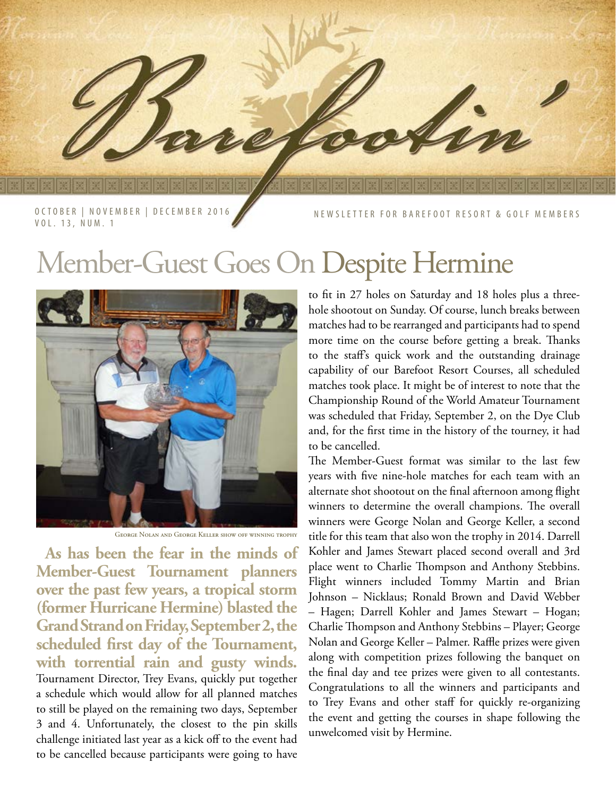OCTOBER | NOVEMBER | DECEMBER 2016 VOL. 13, NUM. 1

FOR BAREFOOT RESORT & GOLF MEMBERS

## Member-Guest Goes On Despite Hermine



George Nolan and George Keller show off winning trophy

**As has been the fear in the minds of Member-Guest Tournament planners over the past few years, a tropical storm (former Hurricane Hermine) blasted the Grand Strand on Friday, September 2, the scheduled first day of the Tournament, with torrential rain and gusty winds.**  Tournament Director, Trey Evans, quickly put together a schedule which would allow for all planned matches to still be played on the remaining two days, September 3 and 4. Unfortunately, the closest to the pin skills challenge initiated last year as a kick off to the event had to be cancelled because participants were going to have

to fit in 27 holes on Saturday and 18 holes plus a threehole shootout on Sunday. Of course, lunch breaks between matches had to be rearranged and participants had to spend more time on the course before getting a break. Thanks to the staff's quick work and the outstanding drainage capability of our Barefoot Resort Courses, all scheduled matches took place. It might be of interest to note that the Championship Round of the World Amateur Tournament was scheduled that Friday, September 2, on the Dye Club and, for the first time in the history of the tourney, it had to be cancelled.

The Member-Guest format was similar to the last few years with five nine-hole matches for each team with an alternate shot shootout on the final afternoon among flight winners to determine the overall champions. The overall winners were George Nolan and George Keller, a second title for this team that also won the trophy in 2014. Darrell Kohler and James Stewart placed second overall and 3rd place went to Charlie Thompson and Anthony Stebbins. Flight winners included Tommy Martin and Brian Johnson – Nicklaus; Ronald Brown and David Webber – Hagen; Darrell Kohler and James Stewart – Hogan; Charlie Thompson and Anthony Stebbins – Player; George Nolan and George Keller – Palmer. Raffle prizes were given along with competition prizes following the banquet on the final day and tee prizes were given to all contestants. Congratulations to all the winners and participants and to Trey Evans and other staff for quickly re-organizing the event and getting the courses in shape following the unwelcomed visit by Hermine.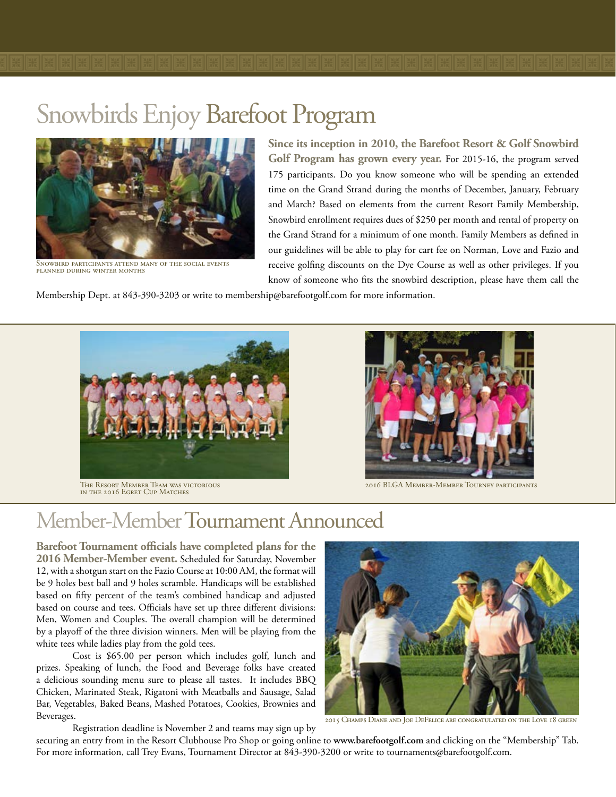

Snowbird participants attend many of the social events planned during winter months

**Since its inception in 2010, the Barefoot Resort & Golf Snowbird Golf Program has grown every year.** For 2015-16, the program served 175 participants. Do you know someone who will be spending an extended time on the Grand Strand during the months of December, January, February and March? Based on elements from the current Resort Family Membership, Snowbird enrollment requires dues of \$250 per month and rental of property on the Grand Strand for a minimum of one month. Family Members as defined in our guidelines will be able to play for cart fee on Norman, Love and Fazio and receive golfing discounts on the Dye Course as well as other privileges. If you know of someone who fits the snowbird description, please have them call the

Membership Dept. at 843-390-3203 or write to membership@barefootgolf.com for more information.



The Resort Member Team was victorious in the 2016 Egret Cup Matches



2016 BLGA Member-Member Tourney participants

## Member-Member Tournament Announced

**Barefoot Tournament officials have completed plans for the 2016 Member-Member event.** Scheduled for Saturday, November 12, with a shotgun start on the Fazio Course at 10:00 AM, the format will be 9 holes best ball and 9 holes scramble. Handicaps will be established based on fifty percent of the team's combined handicap and adjusted based on course and tees. Officials have set up three different divisions: Men, Women and Couples. The overall champion will be determined by a playoff of the three division winners. Men will be playing from the white tees while ladies play from the gold tees.

Cost is \$65.00 per person which includes golf, lunch and prizes. Speaking of lunch, the Food and Beverage folks have created a delicious sounding menu sure to please all tastes. It includes BBQ Chicken, Marinated Steak, Rigatoni with Meatballs and Sausage, Salad Bar, Vegetables, Baked Beans, Mashed Potatoes, Cookies, Brownies and Beverages.

Registration deadline is November 2 and teams may sign up by



2015 Champs Diane and Joe DeFelice are congratulated on the Love 18 green

securing an entry from in the Resort Clubhouse Pro Shop or going online to **www.barefootgolf.com** and clicking on the "Membership" Tab. For more information, call Trey Evans, Tournament Director at 843-390-3200 or write to tournaments@barefootgolf.com.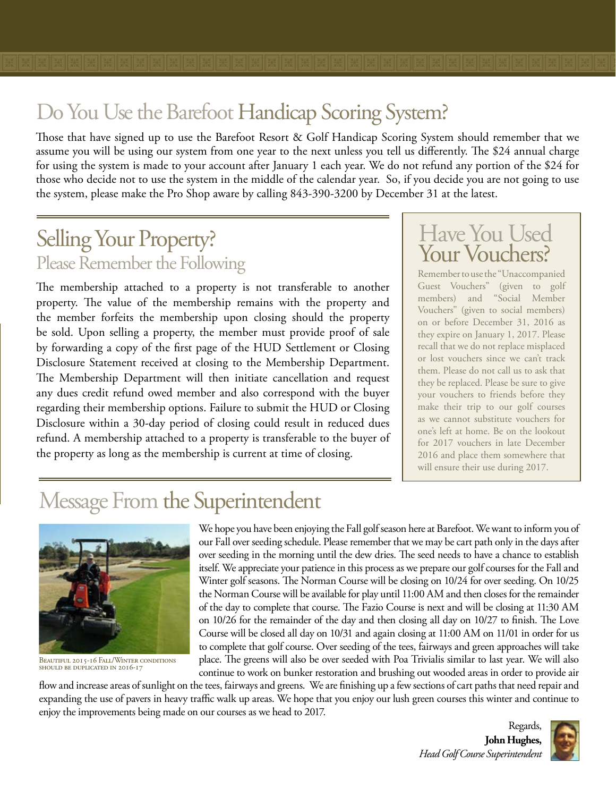Those that have signed up to use the Barefoot Resort & Golf Handicap Scoring System should remember that we assume you will be using our system from one year to the next unless you tell us differently. The \$24 annual charge for using the system is made to your account after January 1 each year. We do not refund any portion of the \$24 for those who decide not to use the system in the middle of the calendar year. So, if you decide you are not going to use the system, please make the Pro Shop aware by calling 843-390-3200 by December 31 at the latest.

## Selling Your Property? Please Remember the Following

The membership attached to a property is not transferable to another property. The value of the membership remains with the property and the member forfeits the membership upon closing should the property be sold. Upon selling a property, the member must provide proof of sale by forwarding a copy of the first page of the HUD Settlement or Closing Disclosure Statement received at closing to the Membership Department. The Membership Department will then initiate cancellation and request any dues credit refund owed member and also correspond with the buyer regarding their membership options. Failure to submit the HUD or Closing Disclosure within a 30-day period of closing could result in reduced dues refund. A membership attached to a property is transferable to the buyer of the property as long as the membership is current at time of closing.

# Have You Used<br>Your Vouchers?

Remember to use the "Unaccompanied Guest Vouchers" (given to golf members) and "Social Member Vouchers" (given to social members) on or before December 31, 2016 as they expire on January 1, 2017. Please recall that we do not replace misplaced or lost vouchers since we can't track them. Please do not call us to ask that they be replaced. Please be sure to give your vouchers to friends before they make their trip to our golf courses as we cannot substitute vouchers for one's left at home. Be on the lookout for 2017 vouchers in late December 2016 and place them somewhere that will ensure their use during 2017.

## Message From the Superintendent



BEAUTIFUL 2015-16 FALL/WINTER CONDITIONS should be duplicated in 2016-17

We hope you have been enjoying the Fall golf season here at Barefoot. We want to inform you of our Fall over seeding schedule. Please remember that we may be cart path only in the days after over seeding in the morning until the dew dries. The seed needs to have a chance to establish itself. We appreciate your patience in this process as we prepare our golf courses for the Fall and Winter golf seasons. The Norman Course will be closing on 10/24 for over seeding. On 10/25 the Norman Course will be available for play until 11:00 AM and then closes for the remainder of the day to complete that course. The Fazio Course is next and will be closing at 11:30 AM on 10/26 for the remainder of the day and then closing all day on 10/27 to finish. The Love Course will be closed all day on 10/31 and again closing at 11:00 AM on 11/01 in order for us to complete that golf course. Over seeding of the tees, fairways and green approaches will take place. The greens will also be over seeded with Poa Trivialis similar to last year. We will also continue to work on bunker restoration and brushing out wooded areas in order to provide air

flow and increase areas of sunlight on the tees, fairways and greens. We are finishing up a few sections of cart paths that need repair and expanding the use of pavers in heavy traffic walk up areas. We hope that you enjoy our lush green courses this winter and continue to enjoy the improvements being made on our courses as we head to 2017.